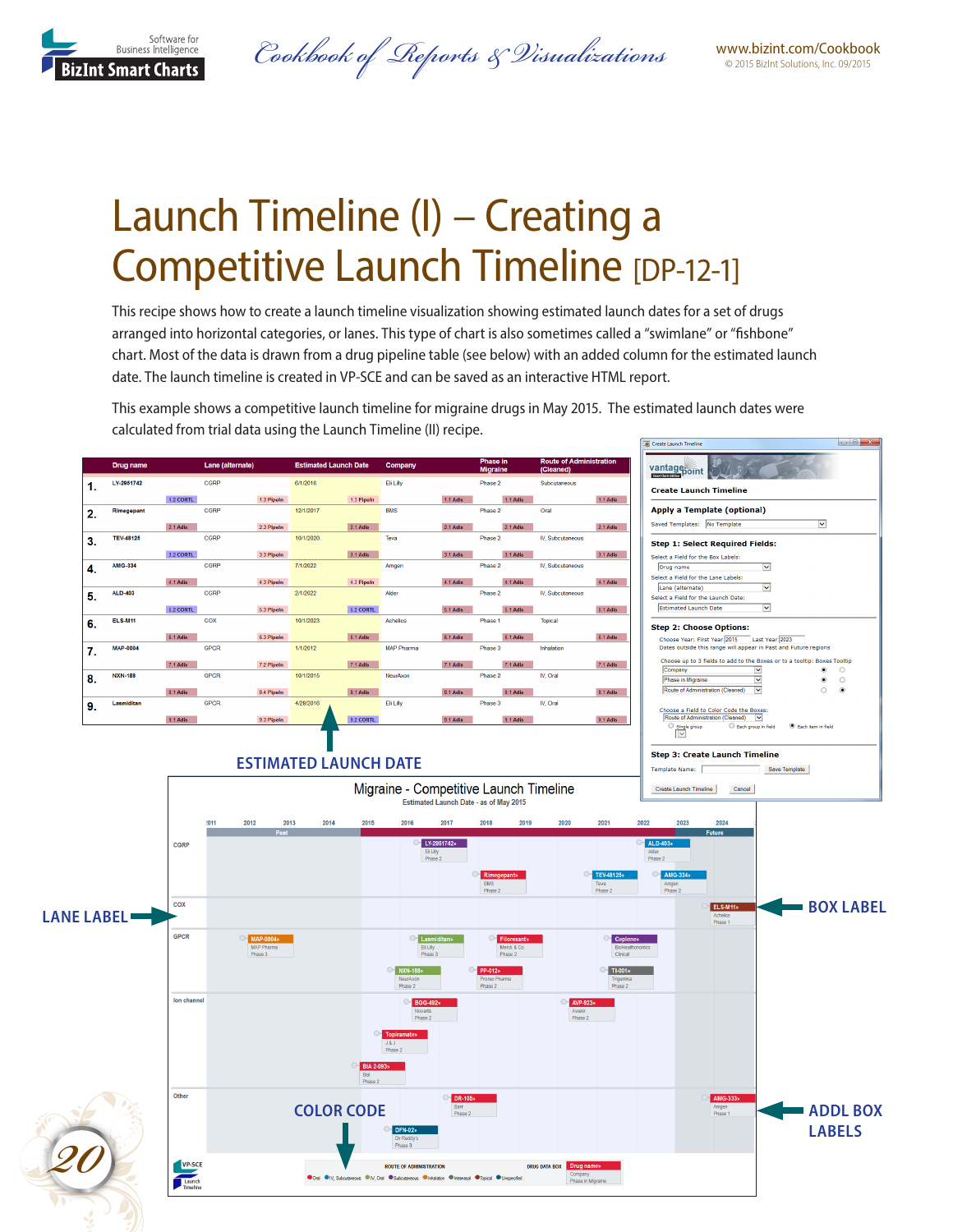

www.bizint.com/Cookbook *Cookbook of Reports & Visualizations* © 2015 BizInt Solutions, Inc. 09/2015

# Launch Timeline (I) – Creating a Competitive Launch Timeline [DP-12-1]

This recipe shows how to create a launch timeline visualization showing estimated launch dates for a set of drugs arranged into horizontal categories, or lanes. This type of chart is also sometimes called a "swimlane" or "fishbone" chart. Most of the data is drawn from a drug pipeline table (see below) with an added column for the estimated launch date. The launch timeline is created in VP-SCE and can be saved as an interactive HTML report.

This example shows a competitive launch timeline for migraine drugs in May 2015. The estimated launch dates were calculated from trial data using the Launch Timeline (II) recipe.